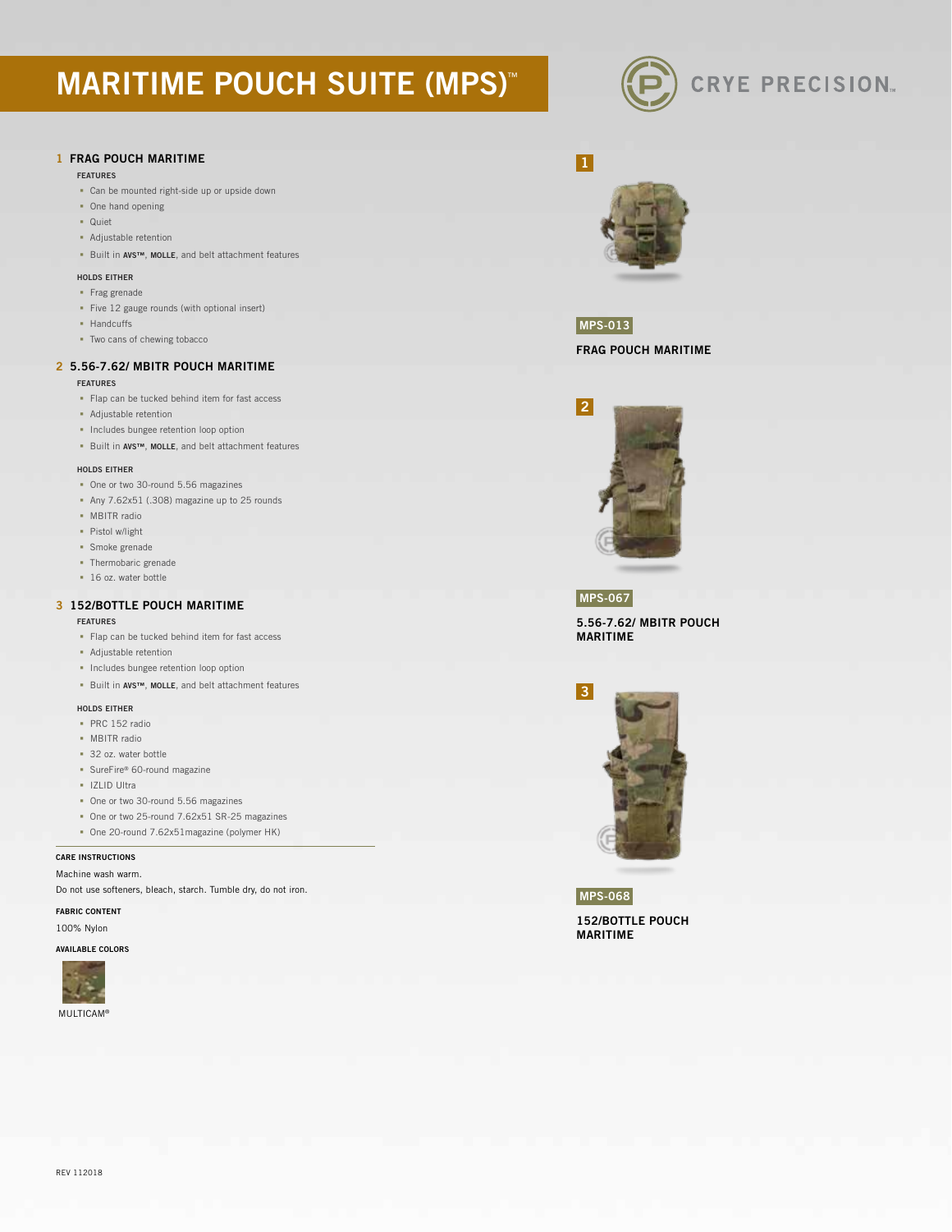# **MARITIME POUCH SUITE (MPS)™**



## 1 FRAG POUCH MARITIME

#### FEATURES

- Can be mounted right-side up or upside down
- One hand opening
- Quiet
- Adjustable retention
- Built in AVS™, MOLLE, and belt attachment features

## HOLDS EITHER

- **Frag grenade**
- Five 12 gauge rounds (with optional insert)
- **-** Handcuffs
- Two cans of chewing tobacco

## 2 5.56-7.62/ MBITR POUCH MARITIME

## FEATURES

- Flap can be tucked behind item for fast access
- Adjustable retention
- **Includes bungee retention loop option**
- Built in AVS™, MOLLE, and belt attachment features

### HOLDS EITHER

- One or two 30-round 5.56 magazines
- Any 7.62x51 (.308) magazine up to 25 rounds
- **MBITR** radio
- Pistol w/light
- Smoke grenade
- Thermobaric grenade
- 16 oz. water bottle

## 3 152/BOTTLE POUCH MARITIME

#### FEATURES

- Flap can be tucked behind item for fast access
- Adjustable retention
- **Includes bungee retention loop option**
- Built in AVS™, MOLLE, and belt attachment features

## HOLDS EITHER

- PRC 152 radio
- **MBITR** radio
- 32 oz. water bottle
- SureFire® 60-round magazine
- **IZLID Ultra**
- One or two 30-round 5.56 magazines
- One or two 25-round 7.62x51 SR-25 magazines
- One 20-round 7.62x51magazine (polymer HK)

### CARE INSTRUCTIONS

Machine wash warm.

Do not use softeners, bleach, starch. Tumble dry, do not iron.

## FABRIC CONTENT

100% Nylon

## AVAILABLE COLORS





## MPS-013

FRAG POUCH MARITIME



## MPS-067

5.56-7.62/ MBITR POUCH MARITIME



152/BOTTLE POUCH MARITIME MPS-068